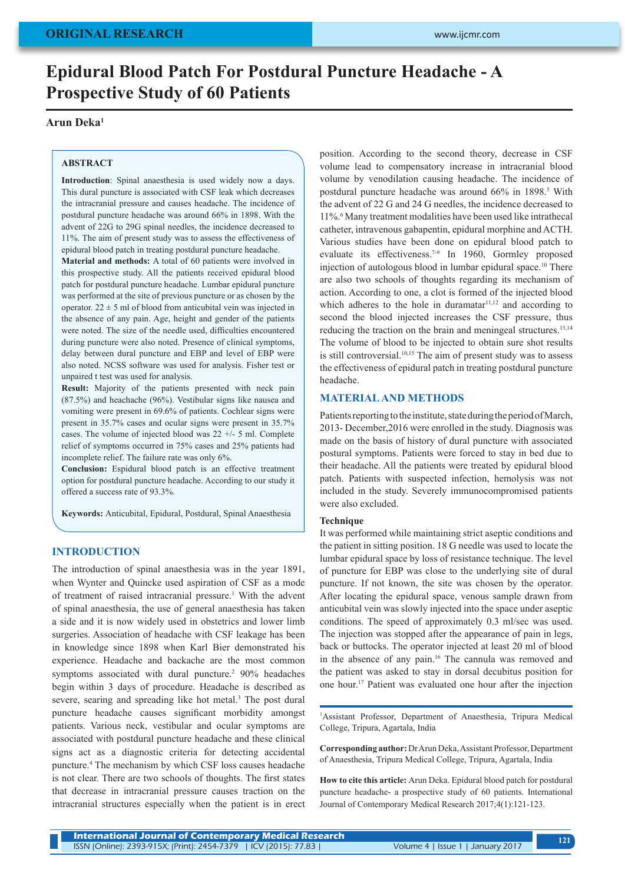# **Epidural Blood Patch For Postdural Puncture Headache - A Prospective Study of 60 Patients**

# **Arun Deka1**

#### **ABSTRACT**

**Introduction**: Spinal anaesthesia is used widely now a days. This dural puncture is associated with CSF leak which decreases the intracranial pressure and causes headache. The incidence of postdural puncture headache was around 66% in 1898. With the advent of 22G to 29G spinal needles, the incidence decreased to 11%. The aim of present study was to assess the effectiveness of epidural blood patch in treating postdural puncture headache.

**Material and methods:** A total of 60 patients were involved in this prospective study. All the patients received epidural blood patch for postdural puncture headache. Lumbar epidural puncture was performed at the site of previous puncture or as chosen by the operator.  $22 \pm 5$  ml of blood from anticubital vein was injected in the absence of any pain. Age, height and gender of the patients were noted. The size of the needle used, difficulties encountered during puncture were also noted. Presence of clinical symptoms, delay between dural puncture and EBP and level of EBP were also noted. NCSS software was used for analysis. Fisher test or unpaired t test was used for analysis.

**Result:** Majority of the patients presented with neck pain (87.5%) and heachache (96%). Vestibular signs like nausea and vomiting were present in 69.6% of patients. Cochlear signs were present in 35.7% cases and ocular signs were present in 35.7% cases. The volume of injected blood was  $22 + (-5)$  ml. Complete relief of symptoms occurred in 75% cases and 25% patients had incomplete relief. The failure rate was only 6%.

**Conclusion:** Espidural blood patch is an effective treatment option for postdural puncture headache. According to our study it offered a success rate of 93.3%.

**Keywords:** Anticubital, Epidural, Postdural, Spinal Anaesthesia

## **INTRODUCTION**

The introduction of spinal anaesthesia was in the year 1891, when Wynter and Quincke used aspiration of CSF as a mode of treatment of raised intracranial pressure.<sup>1</sup> With the advent of spinal anaesthesia, the use of general anaesthesia has taken a side and it is now widely used in obstetrics and lower limb surgeries. Association of headache with CSF leakage has been in knowledge since 1898 when Karl Bier demonstrated his experience. Headache and backache are the most common symptoms associated with dural puncture.<sup>2</sup> 90% headaches begin within 3 days of procedure. Headache is described as severe, searing and spreading like hot metal.<sup>3</sup> The post dural puncture headache causes significant morbidity amongst patients. Various neck, vestibular and ocular symptoms are associated with postdural puncture headache and these clinical signs act as a diagnostic criteria for detecting accidental puncture.4 The mechanism by which CSF loss causes headache is not clear. There are two schools of thoughts. The first states that decrease in intracranial pressure causes traction on the intracranial structures especially when the patient is in erect

position. According to the second theory, decrease in CSF volume lead to compensatory increase in intracranial blood volume by venodilation causing headache. The incidence of postdural puncture headache was around 66% in 1898.<sup>5</sup> With the advent of 22 G and 24 G needles, the incidence decreased to 11%.6 Many treatment modalities have been used like intrathecal catheter, intravenous gabapentin, epidural morphine and ACTH. Various studies have been done on epidural blood patch to evaluate its effectiveness.<sup>7-9</sup> In 1960, Gormley proposed injection of autologous blood in lumbar epidural space.<sup>10</sup> There are also two schools of thoughts regarding its mechanism of action. According to one, a clot is formed of the injected blood which adheres to the hole in duramatar $11,12$  and according to second the blood injected increases the CSF pressure, thus reducing the traction on the brain and meningeal structures.<sup>13,14</sup> The volume of blood to be injected to obtain sure shot results is still controversial.<sup>10,15</sup> The aim of present study was to assess the effectiveness of epidural patch in treating postdural puncture headache.

#### **MATERIAL AND METHODS**

Patients reporting to the institute, state during the period of March, 2013- December,2016 were enrolled in the study. Diagnosis was made on the basis of history of dural puncture with associated postural symptoms. Patients were forced to stay in bed due to their headache. All the patients were treated by epidural blood patch. Patients with suspected infection, hemolysis was not included in the study. Severely immunocompromised patients were also excluded.

#### **Technique**

It was performed while maintaining strict aseptic conditions and the patient in sitting position. 18 G needle was used to locate the lumbar epidural space by loss of resistance technique. The level of puncture for EBP was close to the underlying site of dural puncture. If not known, the site was chosen by the operator. After locating the epidural space, venous sample drawn from anticubital vein was slowly injected into the space under aseptic conditions. The speed of approximately 0.3 ml/sec was used. The injection was stopped after the appearance of pain in legs, back or buttocks. The operator injected at least 20 ml of blood in the absence of any pain.16 The cannula was removed and the patient was asked to stay in dorsal decubitus position for one hour.17 Patient was evaluated one hour after the injection

1 Assistant Professor, Department of Anaesthesia, Tripura Medical College, Tripura, Agartala, India

**Corresponding author:** Dr Arun Deka, Assistant Professor, Department of Anaesthesia, Tripura Medical College, Tripura, Agartala, India

**How to cite this article:** Arun Deka. Epidural blood patch for postdural puncture headache- a prospective study of 60 patients. International Journal of Contemporary Medical Research 2017;4(1):121-123.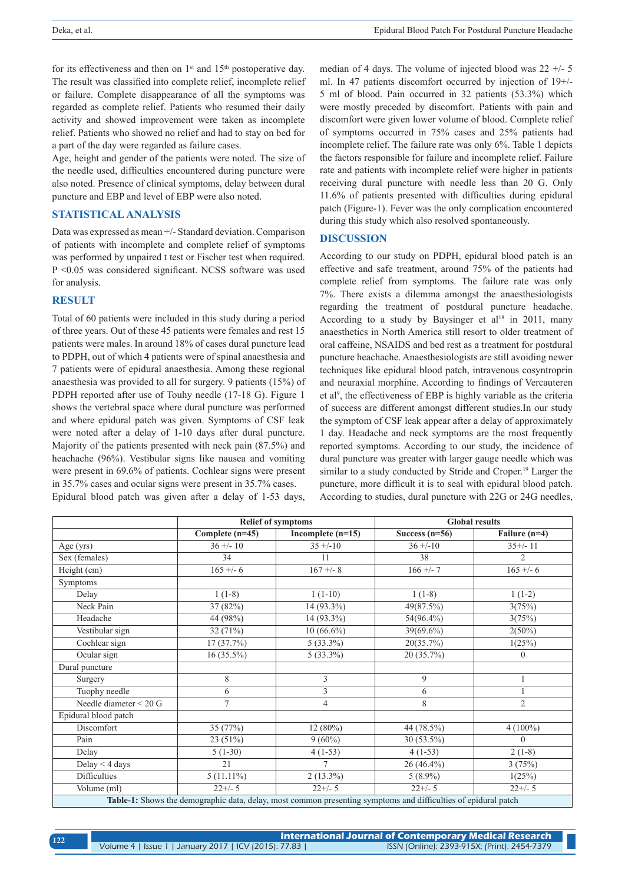for its effectiveness and then on  $1<sup>st</sup>$  and  $15<sup>th</sup>$  postoperative day. The result was classified into complete relief, incomplete relief or failure. Complete disappearance of all the symptoms was regarded as complete relief. Patients who resumed their daily activity and showed improvement were taken as incomplete relief. Patients who showed no relief and had to stay on bed for a part of the day were regarded as failure cases.

Age, height and gender of the patients were noted. The size of the needle used, difficulties encountered during puncture were also noted. Presence of clinical symptoms, delay between dural puncture and EBP and level of EBP were also noted.

## **STATISTICAL ANALYSIS**

Data was expressed as mean +/- Standard deviation. Comparison of patients with incomplete and complete relief of symptoms was performed by unpaired t test or Fischer test when required. P <0.05 was considered significant. NCSS software was used for analysis.

# **RESULT**

Total of 60 patients were included in this study during a period of three years. Out of these 45 patients were females and rest 15 patients were males. In around 18% of cases dural puncture lead to PDPH, out of which 4 patients were of spinal anaesthesia and 7 patients were of epidural anaesthesia. Among these regional anaesthesia was provided to all for surgery. 9 patients (15%) of PDPH reported after use of Touhy needle (17-18 G). Figure 1 shows the vertebral space where dural puncture was performed and where epidural patch was given. Symptoms of CSF leak were noted after a delay of 1-10 days after dural puncture. Majority of the patients presented with neck pain (87.5%) and heachache (96%). Vestibular signs like nausea and vomiting were present in 69.6% of patients. Cochlear signs were present in 35.7% cases and ocular signs were present in 35.7% cases.

Epidural blood patch was given after a delay of 1-53 days,

median of 4 days. The volume of injected blood was 22 +/- 5 ml. In 47 patients discomfort occurred by injection of 19+/- 5 ml of blood. Pain occurred in 32 patients (53.3%) which were mostly preceded by discomfort. Patients with pain and discomfort were given lower volume of blood. Complete relief of symptoms occurred in 75% cases and 25% patients had incomplete relief. The failure rate was only 6%. Table 1 depicts the factors responsible for failure and incomplete relief. Failure rate and patients with incomplete relief were higher in patients receiving dural puncture with needle less than 20 G. Only 11.6% of patients presented with difficulties during epidural patch (Figure-1). Fever was the only complication encountered during this study which also resolved spontaneously.

### **DISCUSSION**

According to our study on PDPH, epidural blood patch is an effective and safe treatment, around 75% of the patients had complete relief from symptoms. The failure rate was only 7%. There exists a dilemma amongst the anaesthesiologists regarding the treatment of postdural puncture headache. According to a study by Baysinger et al<sup>18</sup> in 2011, many anaesthetics in North America still resort to older treatment of oral caffeine, NSAIDS and bed rest as a treatment for postdural puncture heachache. Anaesthesiologists are still avoiding newer techniques like epidural blood patch, intravenous cosyntroprin and neuraxial morphine. According to findings of Vercauteren et al<sup>9</sup>, the effectiveness of EBP is highly variable as the criteria of success are different amongst different studies.In our study the symptom of CSF leak appear after a delay of approximately 1 day. Headache and neck symptoms are the most frequently reported symptoms. According to our study, the incidence of dural puncture was greater with larger gauge needle which was similar to a study conducted by Stride and Croper.<sup>19</sup> Larger the puncture, more difficult it is to seal with epidural blood patch. According to studies, dural puncture with 22G or 24G needles,

|                          |                   | <b>Relief of symptoms</b>                                                                                      |                  | <b>Global results</b> |
|--------------------------|-------------------|----------------------------------------------------------------------------------------------------------------|------------------|-----------------------|
|                          | Complete $(n=45)$ | Incomplete $(n=15)$                                                                                            | Success $(n=56)$ | Failure (n=4)         |
| Age $(yrs)$              | $36 + (-10)$      | $35 + (-10)$                                                                                                   | $36 + (-10)$     | $35+/11$              |
| Sex (females)            | 34                | 11                                                                                                             | 38               | $\overline{2}$        |
| Height (cm)              | $165 + -6$        | $167 + - 8$                                                                                                    | $166 + -7$       | $165 + -6$            |
| Symptoms                 |                   |                                                                                                                |                  |                       |
| Delay                    | $1(1-8)$          | $1(1-10)$                                                                                                      | $1(1-8)$         | $1(1-2)$              |
| Neck Pain                | 37 (82%)          | $14(93.3\%)$                                                                                                   | 49(87.5%)        | 3(75%)                |
| Headache                 | 44 (98%)          | 14 (93.3%)                                                                                                     | 54(96.4%)        | 3(75%)                |
| Vestibular sign          | 32(71%)           | $10(66.6\%)$                                                                                                   | 39(69.6%)        | $2(50\%)$             |
| Cochlear sign            | 17(37.7%)         | $5(33.3\%)$                                                                                                    | 20(35.7%)        | 1(25%)                |
| Ocular sign              | $16(35.5\%)$      | $5(33.3\%)$                                                                                                    | 20 (35.7%)       | $\overline{0}$        |
| Dural puncture           |                   |                                                                                                                |                  |                       |
| Surgery                  | 8                 | 3                                                                                                              | 9                | 1                     |
| Tuophy needle            | 6                 | 3                                                                                                              | 6                |                       |
| Needle diameter $<$ 20 G | $\tau$            | $\overline{4}$                                                                                                 | 8                | $\overline{2}$        |
| Epidural blood patch     |                   |                                                                                                                |                  |                       |
| Discomfort               | 35 (77%)          | $12(80\%)$                                                                                                     | 44 (78.5%)       | $4(100\%)$            |
| Pain                     | 23(51%)           | $9(60\%)$                                                                                                      | 30 (53.5%)       | $\theta$              |
| Delay                    | $5(1-30)$         | $4(1-53)$                                                                                                      | $4(1-53)$        | $2(1-8)$              |
| Delay $<$ 4 days         | 21                | $\overline{7}$                                                                                                 | $26(46.4\%)$     | 3(75%)                |
| <b>Difficulties</b>      | $5(11.11\%)$      | $2(13.3\%)$                                                                                                    | $5(8.9\%)$       | 1(25%)                |
| Volume (ml)              | $22+/-5$          | $22+/-5$                                                                                                       | $22+/-5$         | $22+/-5$              |
|                          |                   | Table-1: Shows the demographic data, delay, most common presenting symptoms and difficulties of epidural patch |                  |                       |

| 122 | <b>International Journal of Contemporary Medical Research</b> |                                              |  |  |
|-----|---------------------------------------------------------------|----------------------------------------------|--|--|
|     | Volume 4   Issue 1   January 2017   ICV (2015): 77.83         | ISSN (Online): 2393-915X; (Print): 2454-7379 |  |  |